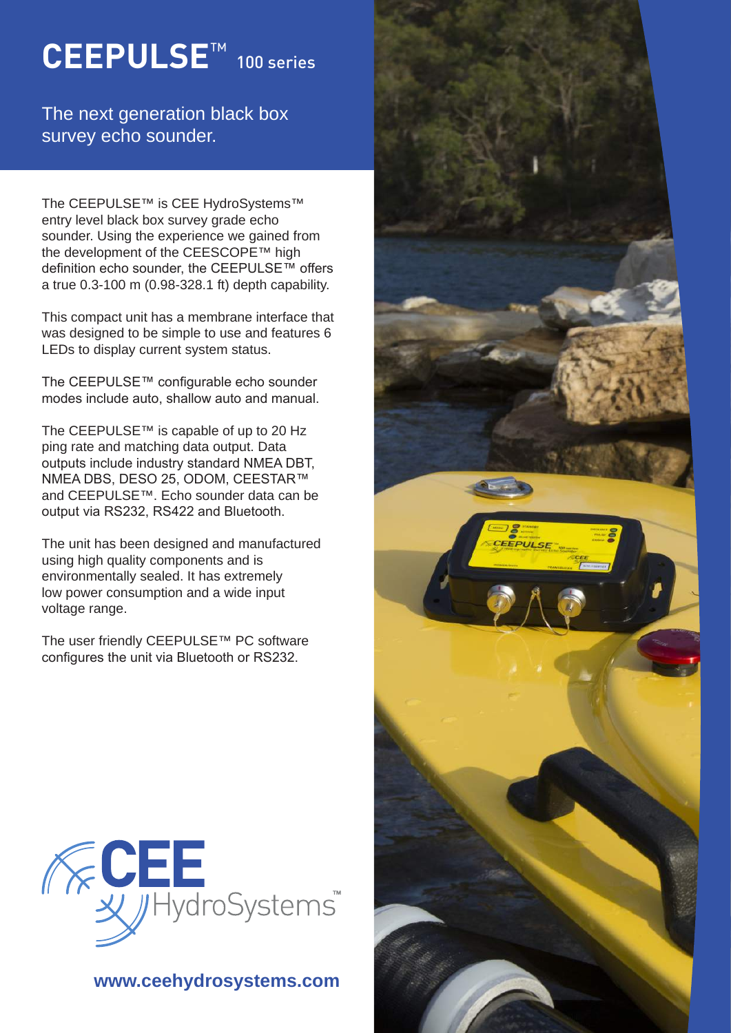# **CEEPULSE**™ 100 series

### The next generation black box survey echo sounder.

The CEEPULSE™ is CEE HydroSystems™ entry level black box survey grade echo sounder. Using the experience we gained from the development of the CEESCOPE™ high definition echo sounder, the CEEPULSE™ offers a true 0.3-100 m (0.98-328.1 ft) depth capability.

This compact unit has a membrane interface that was designed to be simple to use and features 6 LEDs to display current system status.

The CEEPULSE™ configurable echo sounder modes include auto, shallow auto and manual.

The CEEPULSE™ is capable of up to 20 Hz ping rate and matching data output. Data outputs include industry standard NMEA DBT, NMEA DBS, DESO 25, ODOM, CEESTAR™ and CEEPULSE™. Echo sounder data can be output via RS232, RS422 and Bluetooth.

The unit has been designed and manufactured using high quality components and is environmentally sealed. It has extremely low power consumption and a wide input voltage range.

The user friendly CEEPULSE™ PC software configures the unit via Bluetooth or RS232.



### **www.ceehydrosystems.com**